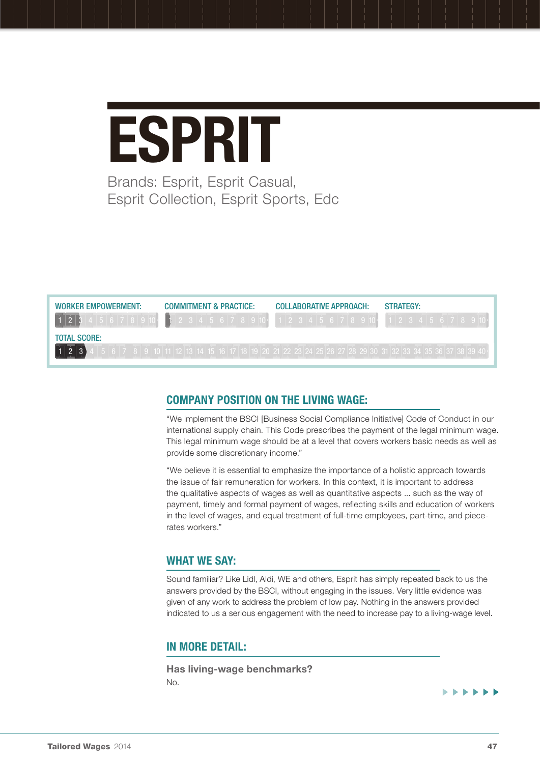# **ESPRIT** Brands: Esprit, Esprit Casual,

Esprit Collection, Esprit Sports, Edc

| <b>WORKER EMPOWERMENT:</b> | <b>COMMITMENT &amp; PRACTICE:</b>                                                                                  | COLLABORATIVE APPROACH: | <b>STRATEGY:</b> |
|----------------------------|--------------------------------------------------------------------------------------------------------------------|-------------------------|------------------|
|                            | $2 3 4 5 6 7 8 9 10 \cdot$                                                                                         | 11234156778910          |                  |
| <b>TOTAL SCORE:</b>        |                                                                                                                    |                         |                  |
| ահահահակամա<br>$\epsilon$  | 7   8   9   10   11   12   13   14   15   16   17   18   19   20   21   22   23   24   25   26   27   28   29   30 |                         |                  |

# Company position on the living wage:

"We implement the BSCI [Business Social Compliance Initiative] Code of Conduct in our international supply chain. This Code prescribes the payment of the legal minimum wage. This legal minimum wage should be at a level that covers workers basic needs as well as provide some discretionary income."

"We believe it is essential to emphasize the importance of a holistic approach towards the issue of fair remuneration for workers. In this context, it is important to address the qualitative aspects of wages as well as quantitative aspects ... such as the way of payment, timely and formal payment of wages, reflecting skills and education of workers in the level of wages, and equal treatment of full-time employees, part-time, and piecerates workers."

# WHAT WE SAY:

Sound familiar? Like Lidl, Aldi, WE and others, Esprit has simply repeated back to us the answers provided by the BSCI, without engaging in the issues. Very little evidence was given of any work to address the problem of low pay. Nothing in the answers provided indicated to us a serious engagement with the need to increase pay to a living-wage level.

### In more detail:

Has living-wage benchmarks? No.